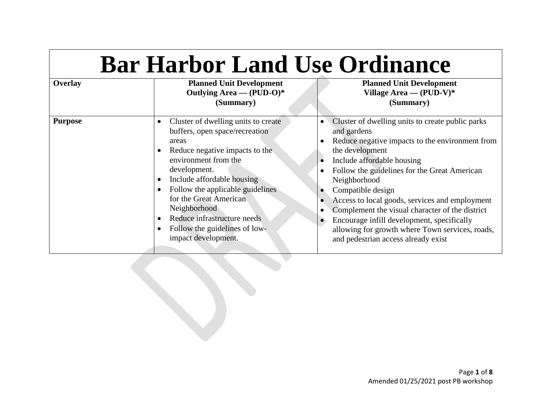| <b>Bar Harbor Land Use Ordinance</b> |                                                                                                                                                                                                                                                                                                                                                             |                                                                                                                                                                                                                                                                                                                                                                                                                                                                                                       |
|--------------------------------------|-------------------------------------------------------------------------------------------------------------------------------------------------------------------------------------------------------------------------------------------------------------------------------------------------------------------------------------------------------------|-------------------------------------------------------------------------------------------------------------------------------------------------------------------------------------------------------------------------------------------------------------------------------------------------------------------------------------------------------------------------------------------------------------------------------------------------------------------------------------------------------|
| Overlay                              | <b>Planned Unit Development</b><br>Outlying Area - (PUD-O)*<br>(Summary)                                                                                                                                                                                                                                                                                    | <b>Planned Unit Development</b><br>Village Area — $(PID-V)^*$<br>(Summary)                                                                                                                                                                                                                                                                                                                                                                                                                            |
| <b>Purpose</b>                       | Cluster of dwelling units to create<br>buffers, open space/recreation<br>areas<br>Reduce negative impacts to the<br>environment from the<br>development.<br>Include affordable housing<br>Follow the applicable guidelines<br>for the Great American<br>Neighborhood<br>Reduce infrastructure needs<br>Follow the guidelines of low-<br>impact development. | Cluster of dwelling units to create public parks<br>and gardens<br>Reduce negative impacts to the environment from<br>the development<br>Include affordable housing<br>Follow the guidelines for the Great American<br>Neighborhood<br>Compatible design<br>Access to local goods, services and employment<br>Complement the visual character of the district<br>Encourage infill development, specifically<br>allowing for growth where Town services, roads,<br>and pedestrian access already exist |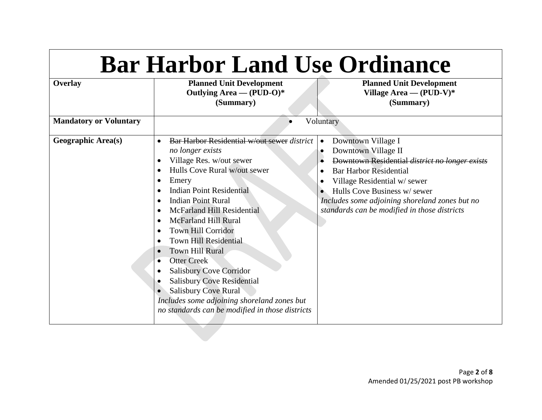| <b>Bar Harbor Land Use Ordinance</b> |                                                                                                                                                                                                                                                                                                                                                                                                                                                                                                                                                                                        |                                                                                                                                                                                                                                                                                              |
|--------------------------------------|----------------------------------------------------------------------------------------------------------------------------------------------------------------------------------------------------------------------------------------------------------------------------------------------------------------------------------------------------------------------------------------------------------------------------------------------------------------------------------------------------------------------------------------------------------------------------------------|----------------------------------------------------------------------------------------------------------------------------------------------------------------------------------------------------------------------------------------------------------------------------------------------|
| Overlay                              | <b>Planned Unit Development</b><br>Outlying Area — $(PID-0)*$<br>(Summary)                                                                                                                                                                                                                                                                                                                                                                                                                                                                                                             | <b>Planned Unit Development</b><br>Village Area — $(PID-V)^*$<br>(Summary)                                                                                                                                                                                                                   |
| <b>Mandatory or Voluntary</b>        |                                                                                                                                                                                                                                                                                                                                                                                                                                                                                                                                                                                        | Voluntary                                                                                                                                                                                                                                                                                    |
| <b>Geographic Area(s)</b>            | Bar Harbor Residential w/out sewer district<br>no longer exists<br>Village Res. w/out sewer<br>Hulls Cove Rural w/out sewer<br>Emery<br><b>Indian Point Residential</b><br><b>Indian Point Rural</b><br>McFarland Hill Residential<br><b>McFarland Hill Rural</b><br><b>Town Hill Corridor</b><br><b>Town Hill Residential</b><br><b>Town Hill Rural</b><br><b>Otter Creek</b><br><b>Salisbury Cove Corridor</b><br><b>Salisbury Cove Residential</b><br><b>Salisbury Cove Rural</b><br>Includes some adjoining shoreland zones but<br>no standards can be modified in those districts | Downtown Village I<br>Downtown Village II<br>Downtown Residential district no longer exists<br><b>Bar Harbor Residential</b><br>Village Residential w/sewer<br>Hulls Cove Business w/sewer<br>Includes some adjoining shoreland zones but no<br>standards can be modified in those districts |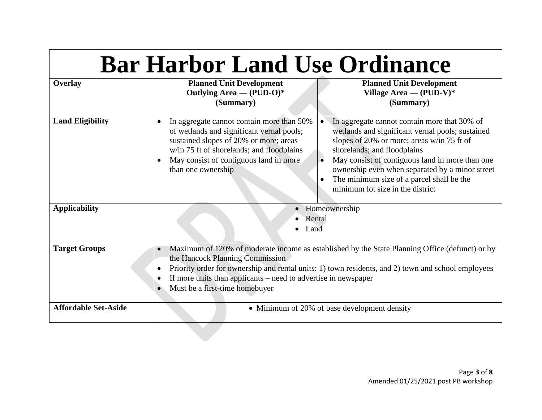| <b>Bar Harbor Land Use Ordinance</b> |                                                                                                                                                                                                                                                                                                                                             |                                                                                                                                                                                                                                                                                                                                                                                                |
|--------------------------------------|---------------------------------------------------------------------------------------------------------------------------------------------------------------------------------------------------------------------------------------------------------------------------------------------------------------------------------------------|------------------------------------------------------------------------------------------------------------------------------------------------------------------------------------------------------------------------------------------------------------------------------------------------------------------------------------------------------------------------------------------------|
| Overlay                              | <b>Planned Unit Development</b><br>Outlying Area — $(PID-0)*$<br>(Summary)                                                                                                                                                                                                                                                                  | <b>Planned Unit Development</b><br>Village Area — $(PID-V)^*$<br>(Summary)                                                                                                                                                                                                                                                                                                                     |
| <b>Land Eligibility</b>              | In aggregate cannot contain more than 50%<br>of wetlands and significant vernal pools;<br>sustained slopes of 20% or more; areas<br>w/in 75 ft of shorelands; and floodplains<br>May consist of contiguous land in more<br>than one ownership                                                                                               | In aggregate cannot contain more that 30% of<br>$\bullet$<br>wetlands and significant vernal pools; sustained<br>slopes of 20% or more; areas w/in 75 ft of<br>shorelands; and floodplains<br>$\bullet$<br>May consist of contiguous land in more than one<br>ownership even when separated by a minor street<br>The minimum size of a parcel shall be the<br>minimum lot size in the district |
| <b>Applicability</b>                 | Homeownership<br>Rental<br>Land                                                                                                                                                                                                                                                                                                             |                                                                                                                                                                                                                                                                                                                                                                                                |
| <b>Target Groups</b>                 | Maximum of 120% of moderate income as established by the State Planning Office (defunct) or by<br>the Hancock Planning Commission<br>Priority order for ownership and rental units: 1) town residents, and 2) town and school employees<br>If more units than applicants – need to advertise in newspaper<br>Must be a first-time homebuyer |                                                                                                                                                                                                                                                                                                                                                                                                |
| <b>Affordable Set-Aside</b>          |                                                                                                                                                                                                                                                                                                                                             | • Minimum of 20% of base development density                                                                                                                                                                                                                                                                                                                                                   |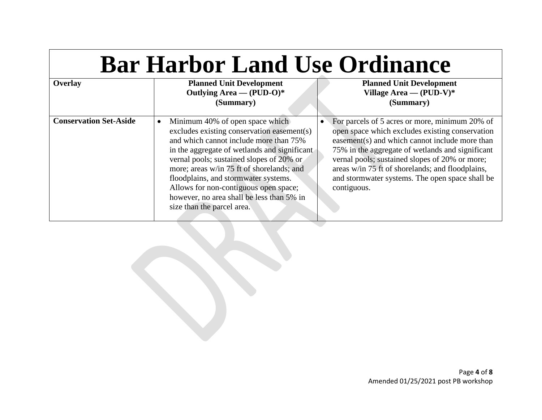| <b>Bar Harbor Land Use Ordinance</b> |                                                                                                                                                                                                                                                                                                                                                                                                                                           |                                                                                                                                                                                                                                                                                                                                                                                 |
|--------------------------------------|-------------------------------------------------------------------------------------------------------------------------------------------------------------------------------------------------------------------------------------------------------------------------------------------------------------------------------------------------------------------------------------------------------------------------------------------|---------------------------------------------------------------------------------------------------------------------------------------------------------------------------------------------------------------------------------------------------------------------------------------------------------------------------------------------------------------------------------|
| Overlay                              | <b>Planned Unit Development</b><br>Outlying Area — $(PID-0)*$<br>(Summary)                                                                                                                                                                                                                                                                                                                                                                | <b>Planned Unit Development</b><br>Village Area — $(PID-V)^*$<br>(Summary)                                                                                                                                                                                                                                                                                                      |
| <b>Conservation Set-Aside</b>        | Minimum 40% of open space which<br>$\bullet$<br>excludes existing conservation easement(s)<br>and which cannot include more than 75%<br>in the aggregate of wetlands and significant<br>vernal pools; sustained slopes of 20% or<br>more; areas w/in 75 ft of shorelands; and<br>floodplains, and stormwater systems.<br>Allows for non-contiguous open space;<br>however, no area shall be less than 5% in<br>size than the parcel area. | For parcels of 5 acres or more, minimum 20% of<br>open space which excludes existing conservation<br>easement(s) and which cannot include more than<br>75% in the aggregate of wetlands and significant<br>vernal pools; sustained slopes of 20% or more;<br>areas w/in 75 ft of shorelands; and floodplains,<br>and stormwater systems. The open space shall be<br>contiguous. |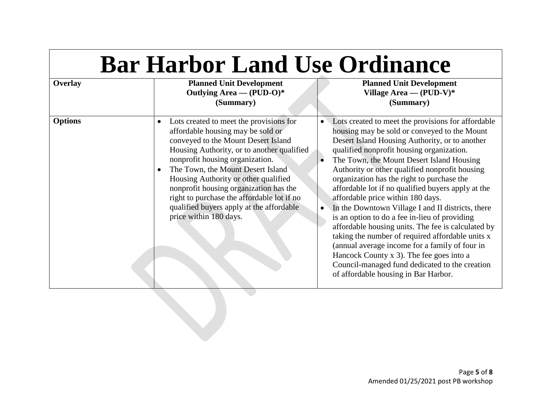| <b>Bar Harbor Land Use Ordinance</b> |                                                                                                                                                                                                                                                                                                                                                                                                                                                              |                                                                                                                                                                                                                                                                                                                                                                                                                                                                                                                                                                                                                                                                                                                                                                                                                                                                |
|--------------------------------------|--------------------------------------------------------------------------------------------------------------------------------------------------------------------------------------------------------------------------------------------------------------------------------------------------------------------------------------------------------------------------------------------------------------------------------------------------------------|----------------------------------------------------------------------------------------------------------------------------------------------------------------------------------------------------------------------------------------------------------------------------------------------------------------------------------------------------------------------------------------------------------------------------------------------------------------------------------------------------------------------------------------------------------------------------------------------------------------------------------------------------------------------------------------------------------------------------------------------------------------------------------------------------------------------------------------------------------------|
| Overlay                              | <b>Planned Unit Development</b><br>Outlying Area — $(PID-0)*$<br>(Summary)                                                                                                                                                                                                                                                                                                                                                                                   | <b>Planned Unit Development</b><br>Village Area — $(PID-V)^*$<br>(Summary)                                                                                                                                                                                                                                                                                                                                                                                                                                                                                                                                                                                                                                                                                                                                                                                     |
| <b>Options</b>                       | Lots created to meet the provisions for<br>$\bullet$<br>affordable housing may be sold or<br>conveyed to the Mount Desert Island<br>Housing Authority, or to another qualified<br>nonprofit housing organization.<br>The Town, the Mount Desert Island<br>Housing Authority or other qualified<br>nonprofit housing organization has the<br>right to purchase the affordable lot if no<br>qualified buyers apply at the affordable<br>price within 180 days. | Lots created to meet the provisions for affordable<br>$\bullet$<br>housing may be sold or conveyed to the Mount<br>Desert Island Housing Authority, or to another<br>qualified nonprofit housing organization.<br>The Town, the Mount Desert Island Housing<br>Authority or other qualified nonprofit housing<br>organization has the right to purchase the<br>affordable lot if no qualified buyers apply at the<br>affordable price within 180 days.<br>In the Downtown Village I and II districts, there<br>is an option to do a fee in-lieu of providing<br>affordable housing units. The fee is calculated by<br>taking the number of required affordable units x<br>(annual average income for a family of four in<br>Hancock County x 3). The fee goes into a<br>Council-managed fund dedicated to the creation<br>of affordable housing in Bar Harbor. |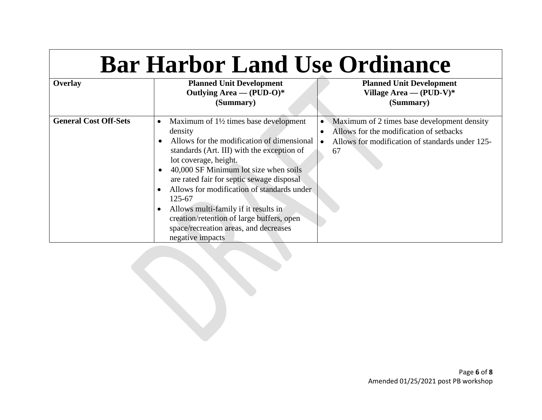| <b>Bar Harbor Land Use Ordinance</b> |                                                                                                                                                                                                                                                                                                                                                                                                                                                                                  |                                                                                                                                                 |
|--------------------------------------|----------------------------------------------------------------------------------------------------------------------------------------------------------------------------------------------------------------------------------------------------------------------------------------------------------------------------------------------------------------------------------------------------------------------------------------------------------------------------------|-------------------------------------------------------------------------------------------------------------------------------------------------|
| Overlay                              | <b>Planned Unit Development</b><br>Outlying Area — $(PID-0)*$<br>(Summary)                                                                                                                                                                                                                                                                                                                                                                                                       | <b>Planned Unit Development</b><br>Village Area — $(PID-V)^*$<br>(Summary)                                                                      |
| <b>General Cost Off-Sets</b>         | Maximum of $1\frac{1}{2}$ times base development<br>density<br>Allows for the modification of dimensional<br>standards (Art. III) with the exception of<br>lot coverage, height.<br>40,000 SF Minimum lot size when soils<br>are rated fair for septic sewage disposal<br>Allows for modification of standards under<br>125-67<br>Allows multi-family if it results in<br>creation/retention of large buffers, open<br>space/recreation areas, and decreases<br>negative impacts | Maximum of 2 times base development density<br>Allows for the modification of setbacks<br>Allows for modification of standards under 125-<br>67 |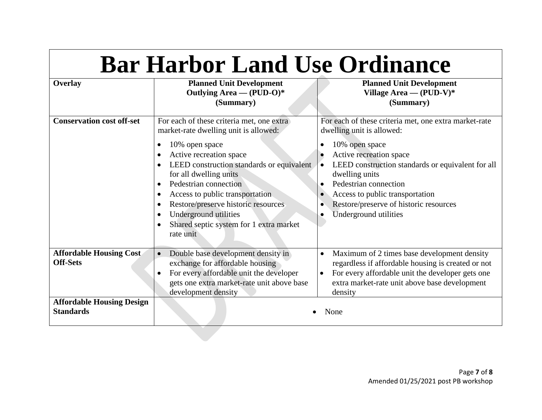| Overlay                                              | <b>Bar Harbor Land Use Ordinance</b><br><b>Planned Unit Development</b><br><b>Planned Unit Development</b><br>Outlying Area - (PUD-O)*<br>Village Area — $(PID-V)^*$                                                                                                                                                                                                                                                 |                                                                                                                                                                                                                                                                                                                                                                 |  |
|------------------------------------------------------|----------------------------------------------------------------------------------------------------------------------------------------------------------------------------------------------------------------------------------------------------------------------------------------------------------------------------------------------------------------------------------------------------------------------|-----------------------------------------------------------------------------------------------------------------------------------------------------------------------------------------------------------------------------------------------------------------------------------------------------------------------------------------------------------------|--|
|                                                      | (Summary)                                                                                                                                                                                                                                                                                                                                                                                                            | (Summary)                                                                                                                                                                                                                                                                                                                                                       |  |
| <b>Conservation cost off-set</b>                     | For each of these criteria met, one extra<br>market-rate dwelling unit is allowed:<br>10% open space<br>$\bullet$<br>Active recreation space<br>LEED construction standards or equivalent<br>for all dwelling units<br>Pedestrian connection<br>Access to public transportation<br>Restore/preserve historic resources<br>Underground utilities<br>$\bullet$<br>Shared septic system for 1 extra market<br>rate unit | For each of these criteria met, one extra market-rate<br>dwelling unit is allowed:<br>10% open space<br>$\bullet$<br>Active recreation space<br>LEED construction standards or equivalent for all<br>dwelling units<br>Pedestrian connection<br>$\bullet$<br>Access to public transportation<br>Restore/preserve of historic resources<br>Underground utilities |  |
| <b>Affordable Housing Cost</b><br><b>Off-Sets</b>    | Double base development density in<br>$\bullet$<br>exchange for affordable housing<br>For every affordable unit the developer<br>$\bullet$<br>gets one extra market-rate unit above base<br>development density                                                                                                                                                                                                      | Maximum of 2 times base development density<br>$\bullet$<br>regardless if affordable housing is created or not<br>For every affordable unit the developer gets one<br>$\bullet$<br>extra market-rate unit above base development<br>density                                                                                                                     |  |
| <b>Affordable Housing Design</b><br><b>Standards</b> |                                                                                                                                                                                                                                                                                                                                                                                                                      | None                                                                                                                                                                                                                                                                                                                                                            |  |